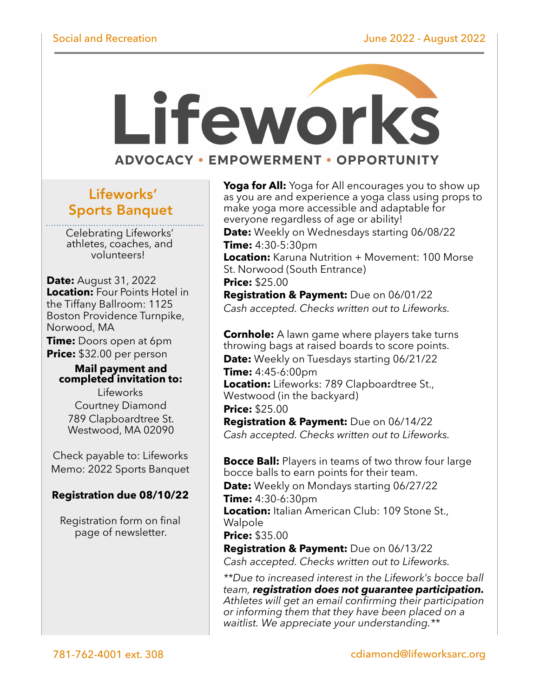# Lifeworks **ADVOCACY • EMPOWERMENT • OPPORTUNITY**

# Lifeworks' Sports Banquet

Celebrating Lifeworks' volunteers!

**Date: August 31, 2022** Location: Four Points Hotel in the Tiffany Ballroom: 1125 Boston Providence Turnpike, Norwood, MA

Time: Doors open at 6pm **Price:** \$32.00 per person

### **Mail payment and completed invitation to:**

Lifeworks Courtney Diamond 789 Clapboardtree St. Westwood, MA 02090

Check payable to: Lifeworks Memo: 2022 Sports Banquet

# **Registration due 08/10/22**

Registration form on final page of newsletter.

**Yoga for All:** Yoga for All encourages you to show up<br>as you are and experience a yoga class using props to make yoga more accessible and adaptable for everyone regardless of age or ability! Date: Weekly on Wednesdays starting 06/08/22

Time: 4:30-5:30pm Location: Karuna Nutrition + Movement: 100 Morse St. Norwood (South Entrance) **Price: \$25.00** 

**Registration & Payment:** Due on 06/01/22 Cash accepted. Checks written out to Lifeworks.

**Cornhole:** A lawn game where players take turns throwing bags at raised boards to score points. Date: Weekly on Tuesdays starting 06/21/22

**Time:**  $4:45-6:00 \text{pm}$ Location: Lifeworks: 789 Clapboardtree St., Westwood (in the backyard)

**Price: \$25.00** 

Registration & Payment: Due on 06/14/22 Cash accepted. Checks written out to Lifeworks.

**Bocce Ball:** Players in teams of two throw four large bocce balls to earn points for their team.

**Date:** Weekly on Mondays starting 06/27/22 Time: 4:30-6:30pm

Location: Italian American Club: 109 Stone St., Walpole

**Price: \$35.00** 

**Registration & Payment:** Due on 06/13/22 Cash accepted. Checks written out to Lifeworks.

\*\*Due to increased interest in the Lifework's bocce ball team, registration does not guarantee participation. Athletes will get an email confirming their participation or informing them that they have been placed on a waitlist. We appreciate your understanding.\*\*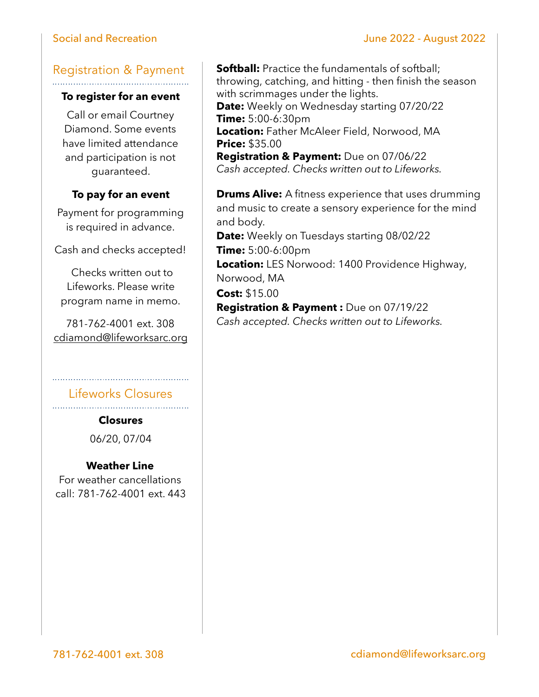# Social and Recreation **Social and Recreation June 2022** - August 2022

# Registration & Payment

## **To register for an event**

Call or email Courtney Diamond. Some events have limited attendance and participation is not guaranteed.

# **To pay for an event**

Payment for programming is required in advance.

Cash and checks accepted!

 Checks written out to Lifeworks. Please write program name in memo.

781-762-4001 ext. 308 [cdiamond@lifeworksarc.org](mailto:cmaynard@lifeworksarc.org)

Lifeworks Closures

**Closures**  06/20, 07/04

#### **Weather Line**

For weather cancellations call: 781-762-4001 ext. 443

**Softball:** Practice the fundamentals of softball; throwing, catching, and hitting - then finish the season with scrimmages under the lights. Date: Weekly on Wednesday starting 07/20/22 Time: 5:00-6:30pm Location: Father McAleer Field, Norwood, MA **Price: \$35.00** 

Registration & Payment: Due on 07/06/22 Cash accepted. Checks written out to Lifeworks.

**Drums Alive:** A fitness experience that uses drumming and music to create a sensory experience for the mind and body.

Date: Weekly on Tuesdays starting 08/02/22 Time: 5:00-6:00pm

Location: LES Norwood: 1400 Providence Highway, Norwood, MA

Cost: \$15.00

Registration & Payment : Due on 07/19/22 Cash accepted. Checks written out to Lifeworks.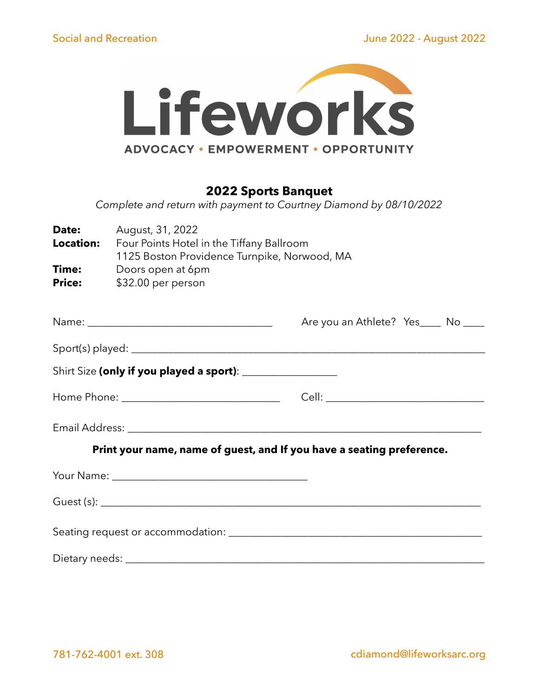

# **2022 Sports Banquet**

*Complete and return with payment to Courtney Diamond by 08/10/2022* 

| Date:<br>Location:     | August, 31, 2022<br>Four Points Hotel in the Tiffany Ballroom<br>1125 Boston Providence Turnpike, Norwood, MA |                                     |  |  |  |  |
|------------------------|---------------------------------------------------------------------------------------------------------------|-------------------------------------|--|--|--|--|
| Time:<br><b>Price:</b> | Doors open at 6pm<br>\$32.00 per person                                                                       |                                     |  |  |  |  |
|                        |                                                                                                               | Are you an Athlete? Yes____ No ____ |  |  |  |  |
|                        |                                                                                                               |                                     |  |  |  |  |
|                        |                                                                                                               |                                     |  |  |  |  |
|                        |                                                                                                               |                                     |  |  |  |  |
|                        |                                                                                                               |                                     |  |  |  |  |
|                        | Print your name, name of guest, and If you have a seating preference.                                         |                                     |  |  |  |  |
|                        |                                                                                                               |                                     |  |  |  |  |
|                        |                                                                                                               |                                     |  |  |  |  |
|                        |                                                                                                               |                                     |  |  |  |  |
|                        |                                                                                                               |                                     |  |  |  |  |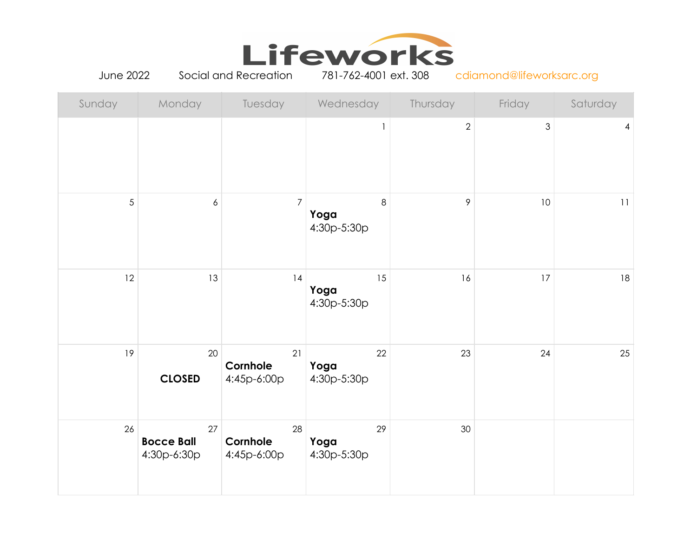

June 2022 Social and Recreation 781-762-4001 ext. 308 cdiamond@lifeworksarc.org

| Sunday     | Monday                                 | Tuesday                       | Wednesday                 | Thursday                       | Friday         | Saturday |
|------------|----------------------------------------|-------------------------------|---------------------------|--------------------------------|----------------|----------|
|            |                                        |                               |                           | $\overline{2}$<br>$\mathbf{1}$ | $\mathfrak{S}$ | 4        |
| $\sqrt{5}$ | $\boldsymbol{6}$                       | $\overline{7}$                | Yoga<br>4:30p-5:30p       | $\,8\,$<br>9                   | 10             | 11       |
| 12         | 13                                     | 14                            | 15<br>Yoga<br>4:30p-5:30p | 16                             | 17             | 18       |
| 19         | $20\,$<br><b>CLOSED</b>                | 21<br>Cornhole<br>4:45p-6:00p | 22<br>Yoga<br>4:30p-5:30p | 23                             | 24             | 25       |
| 26         | 27<br><b>Bocce Ball</b><br>4:30p-6:30p | 28<br>Cornhole<br>4:45p-6:00p | 29<br>Yoga<br>4:30p-5:30p | 30                             |                |          |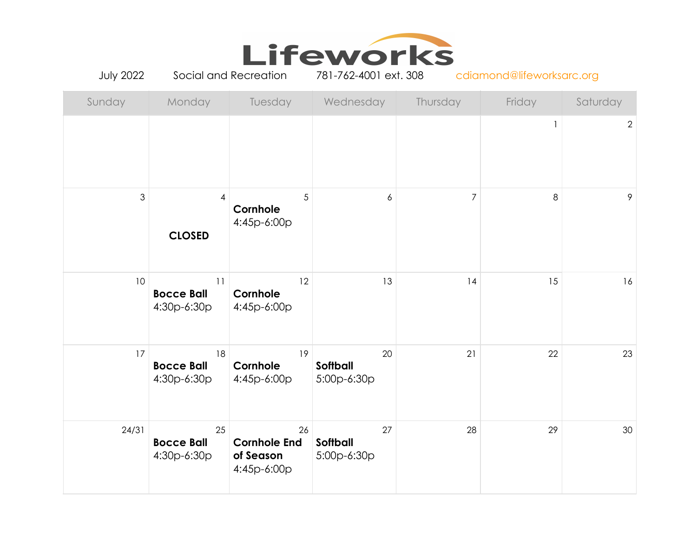

July 2022 Social and Recreation 781-762-4001 ext. 308 cdiamond@lifeworksarc.org

| Sunday         | Monday                                 | Tuesday                                               | Wednesday                            | Thursday       | Friday         | Saturday       |
|----------------|----------------------------------------|-------------------------------------------------------|--------------------------------------|----------------|----------------|----------------|
|                |                                        |                                                       |                                      |                |                | $\overline{2}$ |
| $\mathfrak{S}$ | 4<br><b>CLOSED</b>                     | 5<br>Cornhole<br>4:45p-6:00p                          | $\boldsymbol{6}$                     | $\overline{7}$ | $8\phantom{1}$ | 9              |
| 10             | 11<br><b>Bocce Ball</b><br>4:30p-6:30p | 12<br>Cornhole<br>4:45p-6:00p                         | 13                                   | 14             | 15             | 16             |
| 17             | 18<br><b>Bocce Ball</b><br>4:30p-6:30p | 19<br>Cornhole<br>4:45p-6:00p                         | 20<br><b>Softball</b><br>5:00p-6:30p | 21             | 22             | 23             |
| 24/31          | 25<br><b>Bocce Ball</b><br>4:30p-6:30p | 26<br><b>Cornhole End</b><br>of Season<br>4:45p-6:00p | 27<br>Softball<br>5:00p-6:30p        | 28             | 29             | 30             |